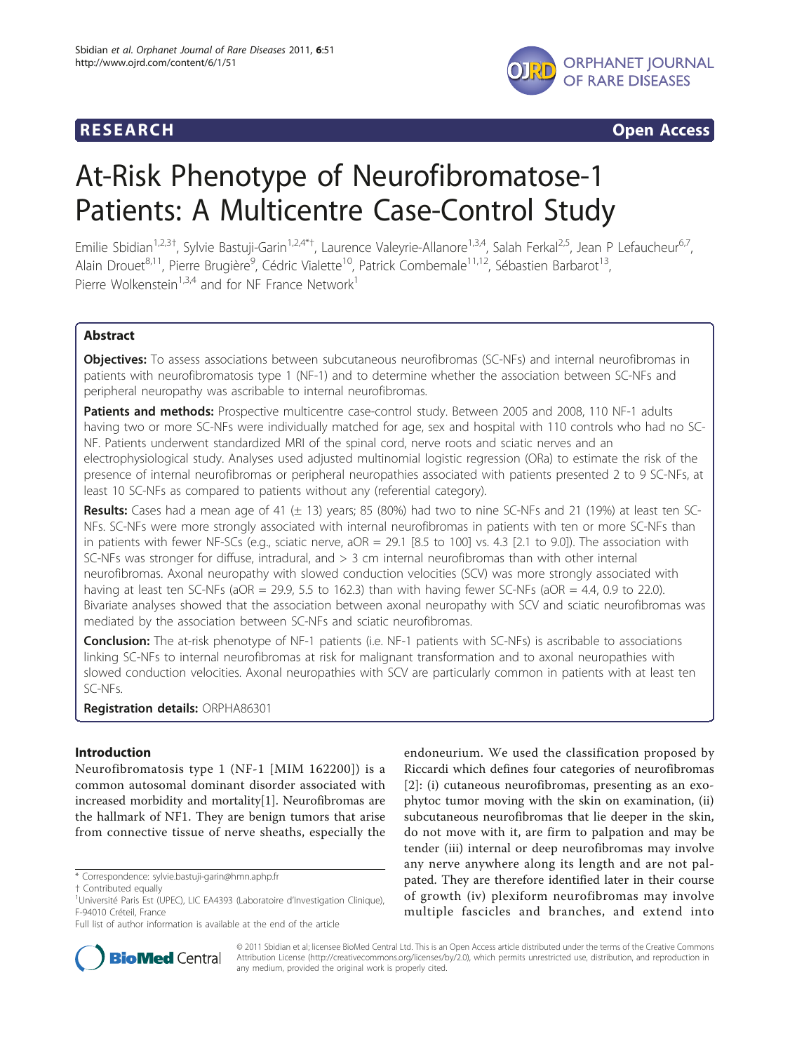

**RESEARCH CONSTRUCTION CONTROL** 

# At-Risk Phenotype of Neurofibromatose-1 Patients: A Multicentre Case-Control Study

Emilie Sbidian<sup>1,2,3†</sup>, Sylvie Bastuji-Garin<sup>1,2,4\*†</sup>, Laurence Valeyrie-Allanore<sup>1,3,4</sup>, Salah Ferkal<sup>2,5</sup>, Jean P Lefaucheur<sup>6,7</sup>, Alain Drouet<sup>8,11</sup>, Pierre Brugière<sup>9</sup>, Cédric Vialette<sup>10</sup>, Patrick Combemale<sup>11,12</sup>, Sébastien Barbarot<sup>13</sup>, Pierre Wolkenstein<sup>1,3,4</sup> and for NF France Network<sup>1</sup>

# Abstract

Objectives: To assess associations between subcutaneous neurofibromas (SC-NFs) and internal neurofibromas in patients with neurofibromatosis type 1 (NF-1) and to determine whether the association between SC-NFs and peripheral neuropathy was ascribable to internal neurofibromas.

Patients and methods: Prospective multicentre case-control study. Between 2005 and 2008, 110 NF-1 adults having two or more SC-NFs were individually matched for age, sex and hospital with 110 controls who had no SC-NF. Patients underwent standardized MRI of the spinal cord, nerve roots and sciatic nerves and an electrophysiological study. Analyses used adjusted multinomial logistic regression (ORa) to estimate the risk of the presence of internal neurofibromas or peripheral neuropathies associated with patients presented 2 to 9 SC-NFs, at least 10 SC-NFs as compared to patients without any (referential category).

Results: Cases had a mean age of 41  $(\pm 13)$  years; 85 (80%) had two to nine SC-NFs and 21 (19%) at least ten SC-NFs. SC-NFs were more strongly associated with internal neurofibromas in patients with ten or more SC-NFs than in patients with fewer NF-SCs (e.g., sciatic nerve, aOR = 29.1 [8.5 to 100] vs. 4.3 [2.1 to 9.0]). The association with SC-NFs was stronger for diffuse, intradural, and > 3 cm internal neurofibromas than with other internal neurofibromas. Axonal neuropathy with slowed conduction velocities (SCV) was more strongly associated with having at least ten SC-NFs (aOR = 29.9, 5.5 to 162.3) than with having fewer SC-NFs (aOR = 4.4, 0.9 to 22.0). Bivariate analyses showed that the association between axonal neuropathy with SCV and sciatic neurofibromas was mediated by the association between SC-NFs and sciatic neurofibromas.

Conclusion: The at-risk phenotype of NF-1 patients (i.e. NF-1 patients with SC-NFs) is ascribable to associations linking SC-NFs to internal neurofibromas at risk for malignant transformation and to axonal neuropathies with slowed conduction velocities. Axonal neuropathies with SCV are particularly common in patients with at least ten SC-NFs.

Registration details: ORPHA86301

# Introduction

Neurofibromatosis type 1 (NF-1 [MIM 162200]) is a common autosomal dominant disorder associated with increased morbidity and mortality[[1\]](#page-6-0). Neurofibromas are the hallmark of NF1. They are benign tumors that arise from connective tissue of nerve sheaths, especially the

endoneurium. We used the classification proposed by Riccardi which defines four categories of neurofibromas [[2](#page-6-0)]: (i) cutaneous neurofibromas, presenting as an exophytoc tumor moving with the skin on examination, (ii) subcutaneous neurofibromas that lie deeper in the skin, do not move with it, are firm to palpation and may be tender (iii) internal or deep neurofibromas may involve any nerve anywhere along its length and are not palpated. They are therefore identified later in their course of growth (iv) plexiform neurofibromas may involve multiple fascicles and branches, and extend into



© 2011 Sbidian et al; licensee BioMed Central Ltd. This is an Open Access article distributed under the terms of the Creative Commons Attribution License [\(http://creativecommons.org/licenses/by/2.0](http://creativecommons.org/licenses/by/2.0)), which permits unrestricted use, distribution, and reproduction in any medium, provided the original work is properly cited.

<sup>\*</sup> Correspondence: [sylvie.bastuji-garin@hmn.aphp.fr](mailto:sylvie.bastuji-garin@hmn.aphp.fr)

<sup>†</sup> Contributed equally <sup>1</sup>

<sup>&</sup>lt;sup>1</sup>Université Paris Est (UPEC), LIC EA4393 (Laboratoire d'Investigation Clinique), F-94010 Créteil, France

Full list of author information is available at the end of the article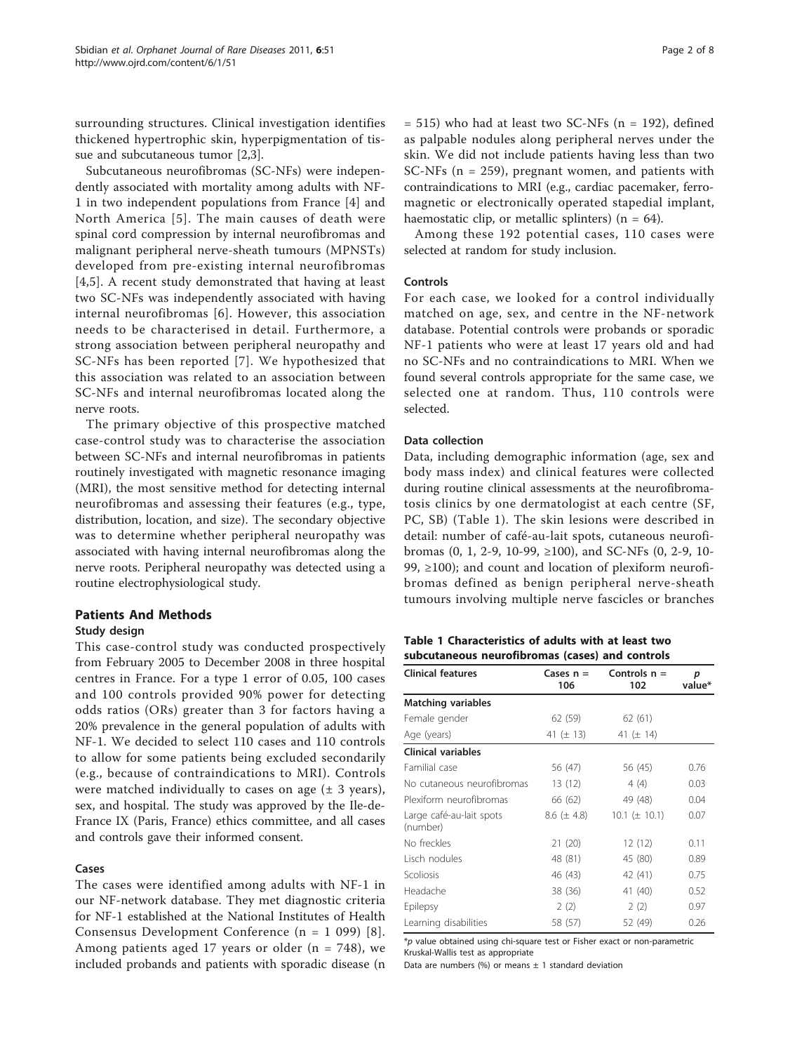<span id="page-1-0"></span>surrounding structures. Clinical investigation identifies thickened hypertrophic skin, hyperpigmentation of tissue and subcutaneous tumor [[2,](#page-6-0)[3\]](#page-7-0).

Subcutaneous neurofibromas (SC-NFs) were independently associated with mortality among adults with NF-1 in two independent populations from France [\[4](#page-7-0)] and North America [[5](#page-7-0)]. The main causes of death were spinal cord compression by internal neurofibromas and malignant peripheral nerve-sheath tumours (MPNSTs) developed from pre-existing internal neurofibromas [[4,5](#page-7-0)]. A recent study demonstrated that having at least two SC-NFs was independently associated with having internal neurofibromas [\[6\]](#page-7-0). However, this association needs to be characterised in detail. Furthermore, a strong association between peripheral neuropathy and SC-NFs has been reported [[7](#page-7-0)]. We hypothesized that this association was related to an association between SC-NFs and internal neurofibromas located along the nerve roots.

The primary objective of this prospective matched case-control study was to characterise the association between SC-NFs and internal neurofibromas in patients routinely investigated with magnetic resonance imaging (MRI), the most sensitive method for detecting internal neurofibromas and assessing their features (e.g., type, distribution, location, and size). The secondary objective was to determine whether peripheral neuropathy was associated with having internal neurofibromas along the nerve roots. Peripheral neuropathy was detected using a routine electrophysiological study.

# Patients And Methods

#### Study design

This case-control study was conducted prospectively from February 2005 to December 2008 in three hospital centres in France. For a type 1 error of 0.05, 100 cases and 100 controls provided 90% power for detecting odds ratios (ORs) greater than 3 for factors having a 20% prevalence in the general population of adults with NF-1. We decided to select 110 cases and 110 controls to allow for some patients being excluded secondarily (e.g., because of contraindications to MRI). Controls were matched individually to cases on age  $(\pm 3 \text{ years})$ , sex, and hospital. The study was approved by the Ile-de-France IX (Paris, France) ethics committee, and all cases and controls gave their informed consent.

#### Cases

The cases were identified among adults with NF-1 in our NF-network database. They met diagnostic criteria for NF-1 established at the National Institutes of Health Consensus Development Conference (n = 1 099) [[8\]](#page-7-0). Among patients aged 17 years or older ( $n = 748$ ), we included probands and patients with sporadic disease (n

 $= 515$ ) who had at least two SC-NFs (n  $= 192$ ), defined as palpable nodules along peripheral nerves under the skin. We did not include patients having less than two SC-NFs (n = 259), pregnant women, and patients with contraindications to MRI (e.g., cardiac pacemaker, ferromagnetic or electronically operated stapedial implant, haemostatic clip, or metallic splinters) ( $n = 64$ ).

Among these 192 potential cases, 110 cases were selected at random for study inclusion.

#### Controls

For each case, we looked for a control individually matched on age, sex, and centre in the NF-network database. Potential controls were probands or sporadic NF-1 patients who were at least 17 years old and had no SC-NFs and no contraindications to MRI. When we found several controls appropriate for the same case, we selected one at random. Thus, 110 controls were selected.

### Data collection

Data, including demographic information (age, sex and body mass index) and clinical features were collected during routine clinical assessments at the neurofibromatosis clinics by one dermatologist at each centre (SF, PC, SB) (Table 1). The skin lesions were described in detail: number of café-au-lait spots, cutaneous neurofibromas (0, 1, 2-9, 10-99, ≥100), and SC-NFs (0, 2-9, 10- 99, ≥100); and count and location of plexiform neurofibromas defined as benign peripheral nerve-sheath tumours involving multiple nerve fascicles or branches

| Table 1 Characteristics of adults with at least two |  |  |
|-----------------------------------------------------|--|--|
| subcutaneous neurofibromas (cases) and controls     |  |  |

| <b>Clinical features</b>             | Cases $n =$<br>106 | Controls $n =$<br>102 | р<br>value* |
|--------------------------------------|--------------------|-----------------------|-------------|
| <b>Matching variables</b>            |                    |                       |             |
| Female gender                        | 62 (59)            | 62 (61)               |             |
| Age (years)                          | 41 ( $\pm$ 13)     | 41 ( $\pm$ 14)        |             |
| <b>Clinical variables</b>            |                    |                       |             |
| Familial case                        | 56 (47)            | 56 (45)               | 0.76        |
| No cutaneous neurofibromas           | 13 (12)            | 4(4)                  | 0.03        |
| Plexiform neurofibromas              | 66 (62)            | 49 (48)               | 0.04        |
| Large café-au-lait spots<br>(number) | $8.6 (\pm 4.8)$    | 10.1 ( $\pm$ 10.1)    | 0.07        |
| No freckles                          | 21(20)             | 12(12)                | 0.11        |
| Lisch nodules                        | 48 (81)            | 45 (80)               | 0.89        |
| Scoliosis                            | 46 (43)            | 42 (41)               | 0.75        |
| Headache                             | 38 (36)            | 41 (40)               | 0.52        |
| Epilepsy                             | 2(2)               | 2(2)                  | 0.97        |
| Learning disabilities                | 58 (57)            | 52 (49)               | 0.26        |

\*p value obtained using chi-square test or Fisher exact or non-parametric Kruskal-Wallis test as appropriate

Data are numbers (%) or means  $\pm$  1 standard deviation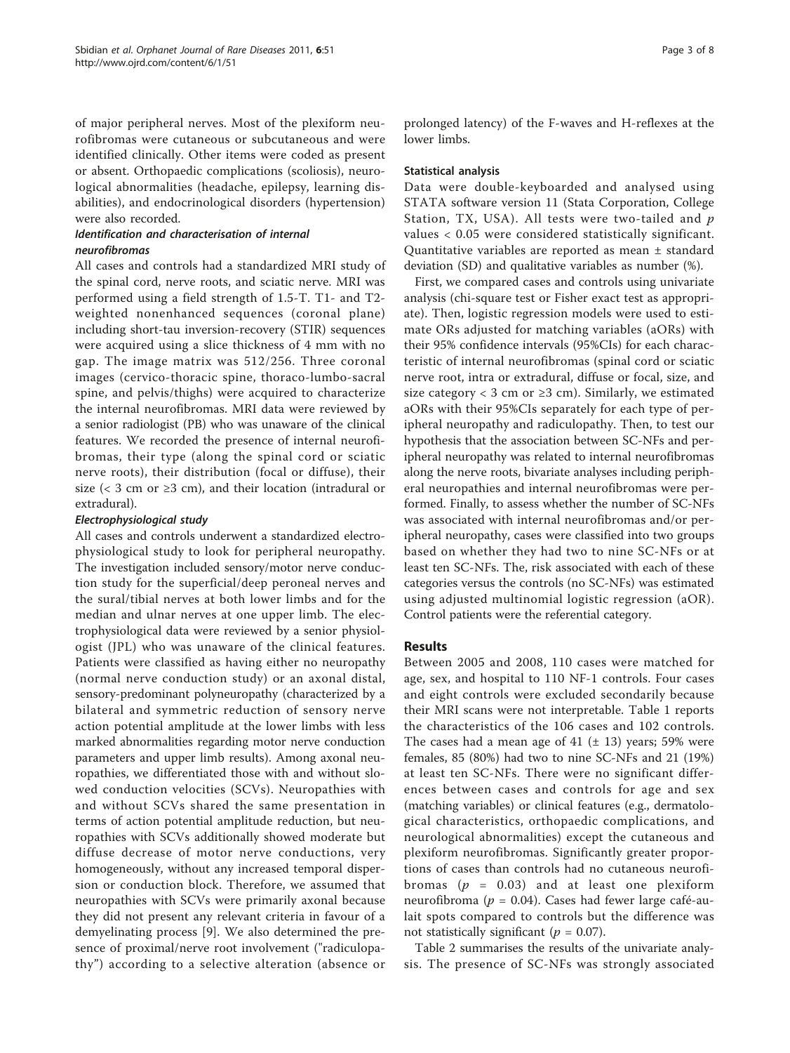of major peripheral nerves. Most of the plexiform neurofibromas were cutaneous or subcutaneous and were identified clinically. Other items were coded as present or absent. Orthopaedic complications (scoliosis), neurological abnormalities (headache, epilepsy, learning disabilities), and endocrinological disorders (hypertension) were also recorded.

# Identification and characterisation of internal neurofibromas

All cases and controls had a standardized MRI study of the spinal cord, nerve roots, and sciatic nerve. MRI was performed using a field strength of 1.5-T. T1- and T2 weighted nonenhanced sequences (coronal plane) including short-tau inversion-recovery (STIR) sequences were acquired using a slice thickness of 4 mm with no gap. The image matrix was 512/256. Three coronal images (cervico-thoracic spine, thoraco-lumbo-sacral spine, and pelvis/thighs) were acquired to characterize the internal neurofibromas. MRI data were reviewed by a senior radiologist (PB) who was unaware of the clinical features. We recorded the presence of internal neurofibromas, their type (along the spinal cord or sciatic nerve roots), their distribution (focal or diffuse), their size (< 3 cm or  $\geq$ 3 cm), and their location (intradural or extradural).

# Electrophysiological study

All cases and controls underwent a standardized electrophysiological study to look for peripheral neuropathy. The investigation included sensory/motor nerve conduction study for the superficial/deep peroneal nerves and the sural/tibial nerves at both lower limbs and for the median and ulnar nerves at one upper limb. The electrophysiological data were reviewed by a senior physiologist (JPL) who was unaware of the clinical features. Patients were classified as having either no neuropathy (normal nerve conduction study) or an axonal distal, sensory-predominant polyneuropathy (characterized by a bilateral and symmetric reduction of sensory nerve action potential amplitude at the lower limbs with less marked abnormalities regarding motor nerve conduction parameters and upper limb results). Among axonal neuropathies, we differentiated those with and without slowed conduction velocities (SCVs). Neuropathies with and without SCVs shared the same presentation in terms of action potential amplitude reduction, but neuropathies with SCVs additionally showed moderate but diffuse decrease of motor nerve conductions, very homogeneously, without any increased temporal dispersion or conduction block. Therefore, we assumed that neuropathies with SCVs were primarily axonal because they did not present any relevant criteria in favour of a demyelinating process [[9](#page-7-0)]. We also determined the presence of proximal/nerve root involvement ("radiculopathy") according to a selective alteration (absence or

prolonged latency) of the F-waves and H-reflexes at the lower limbs.

## Statistical analysis

Data were double-keyboarded and analysed using STATA software version 11 (Stata Corporation, College Station, TX, USA). All tests were two-tailed and  $p$ values < 0.05 were considered statistically significant. Quantitative variables are reported as mean ± standard deviation (SD) and qualitative variables as number (%).

First, we compared cases and controls using univariate analysis (chi-square test or Fisher exact test as appropriate). Then, logistic regression models were used to estimate ORs adjusted for matching variables (aORs) with their 95% confidence intervals (95%CIs) for each characteristic of internal neurofibromas (spinal cord or sciatic nerve root, intra or extradural, diffuse or focal, size, and size category < 3 cm or  $\geq$ 3 cm). Similarly, we estimated aORs with their 95%CIs separately for each type of peripheral neuropathy and radiculopathy. Then, to test our hypothesis that the association between SC-NFs and peripheral neuropathy was related to internal neurofibromas along the nerve roots, bivariate analyses including peripheral neuropathies and internal neurofibromas were performed. Finally, to assess whether the number of SC-NFs was associated with internal neurofibromas and/or peripheral neuropathy, cases were classified into two groups based on whether they had two to nine SC-NFs or at least ten SC-NFs. The, risk associated with each of these categories versus the controls (no SC-NFs) was estimated using adjusted multinomial logistic regression (aOR). Control patients were the referential category.

# Results

Between 2005 and 2008, 110 cases were matched for age, sex, and hospital to 110 NF-1 controls. Four cases and eight controls were excluded secondarily because their MRI scans were not interpretable. Table [1](#page-1-0) reports the characteristics of the 106 cases and 102 controls. The cases had a mean age of 41  $(\pm 13)$  years; 59% were females, 85 (80%) had two to nine SC-NFs and 21 (19%) at least ten SC-NFs. There were no significant differences between cases and controls for age and sex (matching variables) or clinical features (e.g., dermatological characteristics, orthopaedic complications, and neurological abnormalities) except the cutaneous and plexiform neurofibromas. Significantly greater proportions of cases than controls had no cutaneous neurofibromas ( $p = 0.03$ ) and at least one plexiform neurofibroma ( $p = 0.04$ ). Cases had fewer large café-aulait spots compared to controls but the difference was not statistically significant ( $p = 0.07$ ).

Table [2](#page-3-0) summarises the results of the univariate analysis. The presence of SC-NFs was strongly associated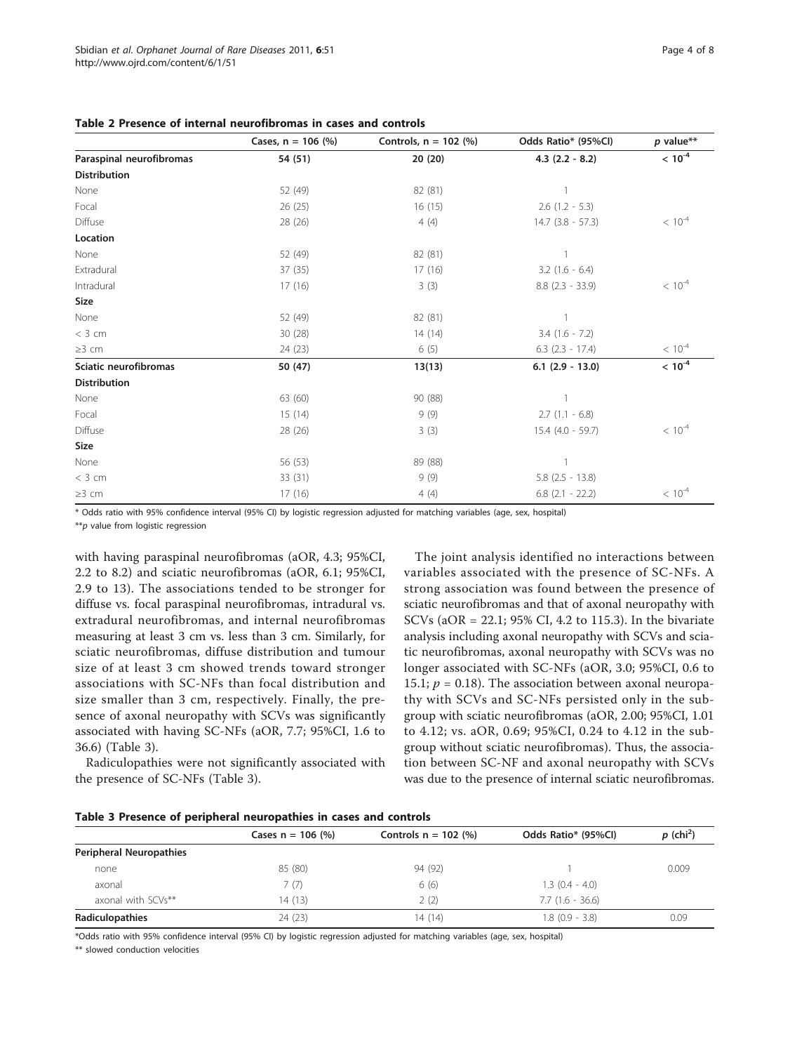<span id="page-3-0"></span>Table 2 Presence of internal neurofibromas in cases and controls

|                          | Cases, $n = 106$ (%) | Controls, $n = 102$ (%) | Odds Ratio* (95%Cl)  | $p$ value** |
|--------------------------|----------------------|-------------------------|----------------------|-------------|
| Paraspinal neurofibromas | 54 (51)              | 20(20)                  | $4.3$ (2.2 - 8.2)    | $< 10^{-4}$ |
| <b>Distribution</b>      |                      |                         |                      |             |
| None                     | 52 (49)              | 82 (81)                 |                      |             |
| Focal                    | 26 (25)              | 16(15)                  | $2.6$ (1.2 - 5.3)    |             |
| Diffuse                  | 28 (26)              | 4(4)                    | $14.7$ (3.8 - 57.3)  | $< 10^{-4}$ |
| Location                 |                      |                         |                      |             |
| None                     | 52 (49)              | 82 (81)                 |                      |             |
| Extradural               | 37 (35)              | 17(16)                  | $3.2$ (1.6 - 6.4)    |             |
| Intradural               | 17(16)               | 3(3)                    | $8.8$ $(2.3 - 33.9)$ | $< 10^{-4}$ |
| Size                     |                      |                         |                      |             |
| None                     | 52 (49)              | 82 (81)                 |                      |             |
| $<$ 3 cm                 | 30(28)               | 14(14)                  | $3.4$ (1.6 - 7.2)    |             |
| $\geq$ 3 cm              | 24 (23)              | 6(5)                    | $6.3$ $(2.3 - 17.4)$ | $< 10^{-4}$ |
| Sciatic neurofibromas    | 50 (47)              | 13(13)                  | $6.1$ (2.9 - 13.0)   | $< 10^{-4}$ |
| <b>Distribution</b>      |                      |                         |                      |             |
| None                     | 63 (60)              | 90 (88)                 |                      |             |
| Focal                    | 15(14)               | 9(9)                    | $2.7(1.1 - 6.8)$     |             |
| Diffuse                  | 28 (26)              | 3(3)                    | $15.4$ (4.0 - 59.7)  | $< 10^{-4}$ |
| Size                     |                      |                         |                      |             |
| None                     | 56 (53)              | 89 (88)                 |                      |             |
| $<$ 3 cm                 | 33 (31)              | 9(9)                    | $5.8$ (2.5 - 13.8)   |             |
| $\geq$ 3 cm              | 17(16)               | 4(4)                    | $6.8$ $(2.1 - 22.2)$ | $< 10^{-4}$ |

\* Odds ratio with 95% confidence interval (95% CI) by logistic regression adjusted for matching variables (age, sex, hospital)

\*\*p value from logistic regression

with having paraspinal neurofibromas (aOR, 4.3; 95%CI, 2.2 to 8.2) and sciatic neurofibromas (aOR, 6.1; 95%CI, 2.9 to 13). The associations tended to be stronger for diffuse vs. focal paraspinal neurofibromas, intradural vs. extradural neurofibromas, and internal neurofibromas measuring at least 3 cm vs. less than 3 cm. Similarly, for sciatic neurofibromas, diffuse distribution and tumour size of at least 3 cm showed trends toward stronger associations with SC-NFs than focal distribution and size smaller than 3 cm, respectively. Finally, the presence of axonal neuropathy with SCVs was significantly associated with having SC-NFs (aOR, 7.7; 95%CI, 1.6 to 36.6) (Table 3).

Radiculopathies were not significantly associated with the presence of SC-NFs (Table 3).

The joint analysis identified no interactions between variables associated with the presence of SC-NFs. A strong association was found between the presence of sciatic neurofibromas and that of axonal neuropathy with SCVs (aOR = 22.1; 95% CI, 4.2 to 115.3). In the bivariate analysis including axonal neuropathy with SCVs and sciatic neurofibromas, axonal neuropathy with SCVs was no longer associated with SC-NFs (aOR, 3.0; 95%CI, 0.6 to 15.1;  $p = 0.18$ ). The association between axonal neuropathy with SCVs and SC-NFs persisted only in the subgroup with sciatic neurofibromas (aOR, 2.00; 95%CI, 1.01 to 4.12; vs. aOR, 0.69; 95%CI, 0.24 to 4.12 in the subgroup without sciatic neurofibromas). Thus, the association between SC-NF and axonal neuropathy with SCVs was due to the presence of internal sciatic neurofibromas.

|  |  |  |  | Table 3 Presence of peripheral neuropathies in cases and controls |  |  |  |  |  |
|--|--|--|--|-------------------------------------------------------------------|--|--|--|--|--|
|--|--|--|--|-------------------------------------------------------------------|--|--|--|--|--|

|                         | Cases $n = 106$ (%) | Controls $n = 102$ (%) | Odds Ratio* (95%Cl) | $p$ (chi <sup>2</sup> ) |
|-------------------------|---------------------|------------------------|---------------------|-------------------------|
| Peripheral Neuropathies |                     |                        |                     |                         |
| none                    | 85 (80)             | 94 (92)                |                     | 0.009                   |
| axonal                  | 7(7)                | 6(6)                   | $1.3(0.4 - 4.0)$    |                         |
| axonal with SCVs**      | 14 (13)             | 2(2)                   | $7.7(1.6 - 36.6)$   |                         |
| Radiculopathies         | 24 (23)             | 14 (14)                | $1.8$ (0.9 - 3.8)   | 0.09                    |

\*Odds ratio with 95% confidence interval (95% CI) by logistic regression adjusted for matching variables (age, sex, hospital)

\*\* slowed conduction velocities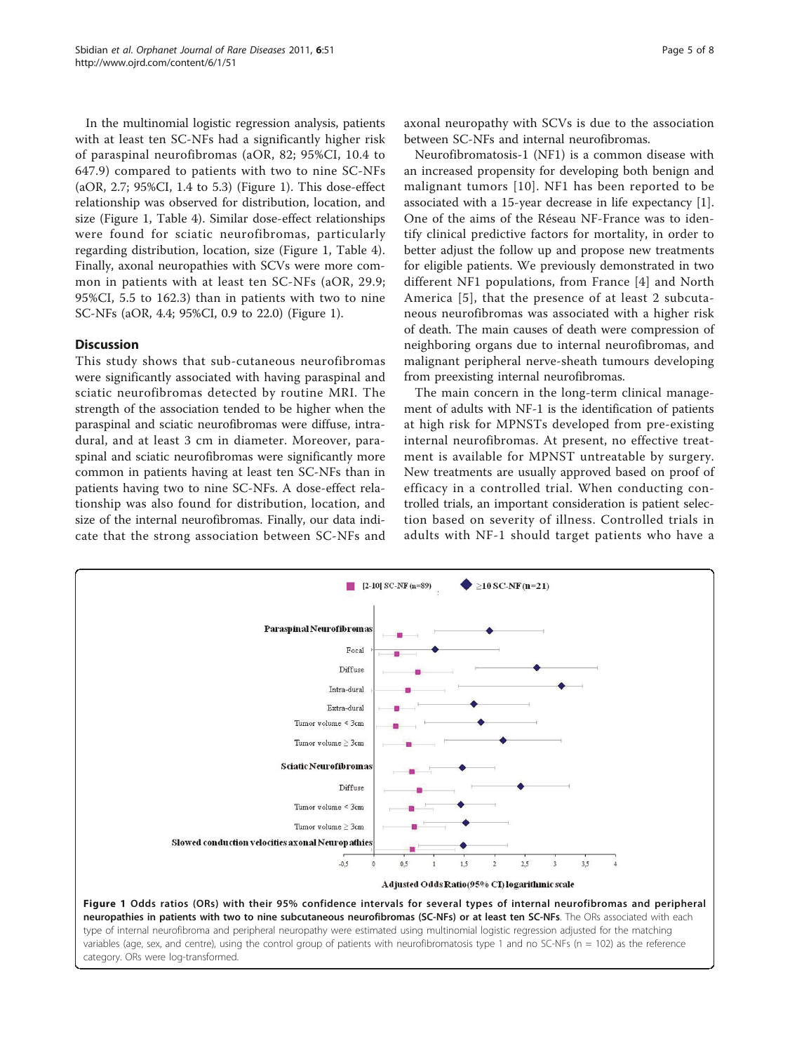In the multinomial logistic regression analysis, patients with at least ten SC-NFs had a significantly higher risk of paraspinal neurofibromas (aOR, 82; 95%CI, 10.4 to 647.9) compared to patients with two to nine SC-NFs (aOR, 2.7; 95%CI, 1.4 to 5.3) (Figure 1). This dose-effect relationship was observed for distribution, location, and size (Figure 1, Table [4](#page-5-0)). Similar dose-effect relationships were found for sciatic neurofibromas, particularly regarding distribution, location, size (Figure 1, Table [4](#page-5-0)). Finally, axonal neuropathies with SCVs were more common in patients with at least ten SC-NFs (aOR, 29.9; 95%CI, 5.5 to 162.3) than in patients with two to nine SC-NFs (aOR, 4.4; 95%CI, 0.9 to 22.0) (Figure 1).

# Discussion

This study shows that sub-cutaneous neurofibromas were significantly associated with having paraspinal and sciatic neurofibromas detected by routine MRI. The strength of the association tended to be higher when the paraspinal and sciatic neurofibromas were diffuse, intradural, and at least 3 cm in diameter. Moreover, paraspinal and sciatic neurofibromas were significantly more common in patients having at least ten SC-NFs than in patients having two to nine SC-NFs. A dose-effect relationship was also found for distribution, location, and size of the internal neurofibromas. Finally, our data indicate that the strong association between SC-NFs and axonal neuropathy with SCVs is due to the association between SC-NFs and internal neurofibromas.

Neurofibromatosis-1 (NF1) is a common disease with an increased propensity for developing both benign and malignant tumors [\[10\]](#page-7-0). NF1 has been reported to be associated with a 15-year decrease in life expectancy [\[1](#page-6-0)]. One of the aims of the Réseau NF-France was to identify clinical predictive factors for mortality, in order to better adjust the follow up and propose new treatments for eligible patients. We previously demonstrated in two different NF1 populations, from France [[4](#page-7-0)] and North America [[5](#page-7-0)], that the presence of at least 2 subcutaneous neurofibromas was associated with a higher risk of death. The main causes of death were compression of neighboring organs due to internal neurofibromas, and malignant peripheral nerve-sheath tumours developing from preexisting internal neurofibromas.

The main concern in the long-term clinical management of adults with NF-1 is the identification of patients at high risk for MPNSTs developed from pre-existing internal neurofibromas. At present, no effective treatment is available for MPNST untreatable by surgery. New treatments are usually approved based on proof of efficacy in a controlled trial. When conducting controlled trials, an important consideration is patient selection based on severity of illness. Controlled trials in adults with NF-1 should target patients who have a

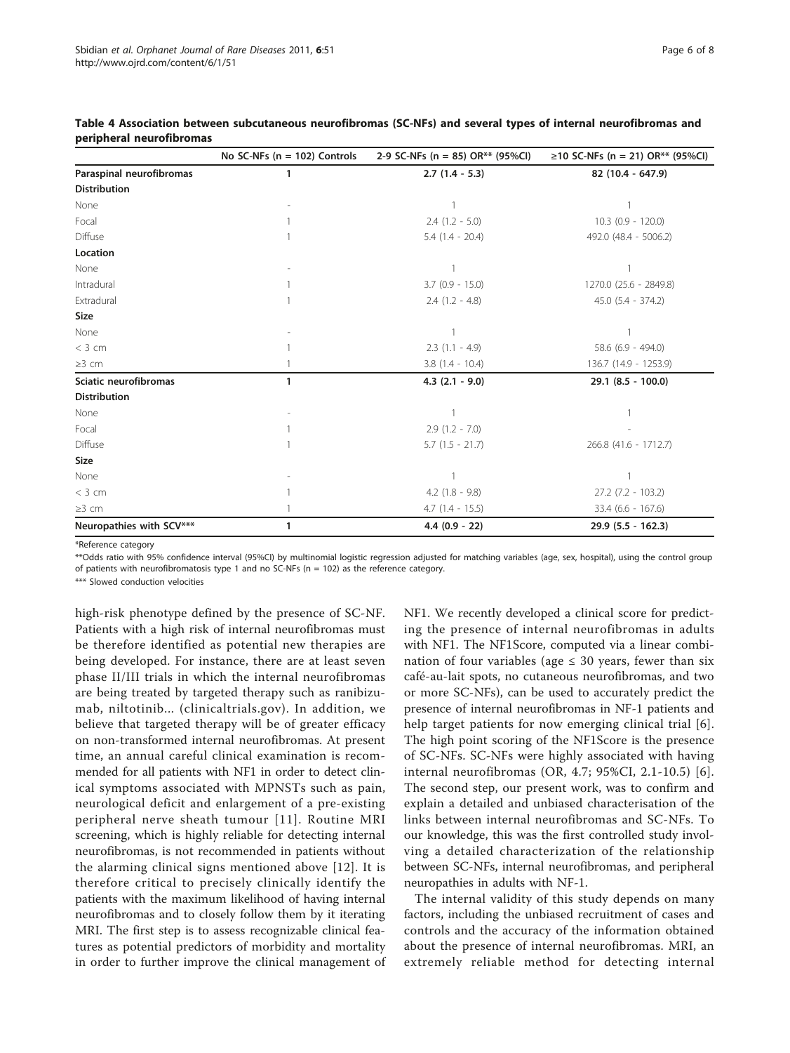|                          | No SC-NFs ( $n = 102$ ) Controls | 2-9 SC-NFs (n = 85) OR** (95%Cl) | ≥10 SC-NFs (n = 21) OR <sup>**</sup> (95%Cl) |
|--------------------------|----------------------------------|----------------------------------|----------------------------------------------|
| Paraspinal neurofibromas | 1                                | $2.7(1.4 - 5.3)$                 | 82 (10.4 - 647.9)                            |
| <b>Distribution</b>      |                                  |                                  |                                              |
| None                     |                                  |                                  |                                              |
| Focal                    |                                  | $2.4$ $(1.2 - 5.0)$              | $10.3$ (0.9 - 120.0)                         |
| Diffuse                  |                                  | $5.4(1.4 - 20.4)$                | 492.0 (48.4 - 5006.2)                        |
| Location                 |                                  |                                  |                                              |
| None                     |                                  |                                  |                                              |
| Intradural               |                                  | $3.7$ (0.9 - 15.0)               | 1270.0 (25.6 - 2849.8)                       |
| Extradural               |                                  | $2.4$ $(1.2 - 4.8)$              | $45.0$ $(5.4 - 374.2)$                       |
| Size                     |                                  |                                  |                                              |
| None                     |                                  |                                  |                                              |
| $<$ 3 cm                 |                                  | $2.3(1.1 - 4.9)$                 | $58.6$ (6.9 - 494.0)                         |
| $\geq$ 3 cm              |                                  | $3.8(1.4 - 10.4)$                | 136.7 (14.9 - 1253.9)                        |
| Sciatic neurofibromas    | 1                                | $4.3$ $(2.1 - 9.0)$              | $29.1$ (8.5 - 100.0)                         |
| <b>Distribution</b>      |                                  |                                  |                                              |
| None                     |                                  |                                  |                                              |
| Focal                    |                                  | $2.9(1.2 - 7.0)$                 |                                              |
| Diffuse                  |                                  | $5.7$ $(1.5 - 21.7)$             | 266.8 (41.6 - 1712.7)                        |
| Size                     |                                  |                                  |                                              |
| None                     |                                  |                                  |                                              |
| $<$ 3 cm                 |                                  | $4.2$ (1.8 - 9.8)                | $27.2$ (7.2 - 103.2)                         |
| $\geq$ 3 cm              |                                  | $4.7(1.4 - 15.5)$                | $33.4$ (6.6 - 167.6)                         |
| Neuropathies with SCV*** | 1                                | $4.4(0.9 - 22)$                  | $29.9$ (5.5 - 162.3)                         |

<span id="page-5-0"></span>Table 4 Association between subcutaneous neurofibromas (SC-NFs) and several types of internal neurofibromas and peripheral neurofibromas

\*Reference category

\*\*Odds ratio with 95% confidence interval (95%CI) by multinomial logistic regression adjusted for matching variables (age, sex, hospital), using the control group of patients with neurofibromatosis type 1 and no SC-NFs ( $n = 102$ ) as the reference category.

\*\*\* Slowed conduction velocities

high-risk phenotype defined by the presence of SC-NF. Patients with a high risk of internal neurofibromas must be therefore identified as potential new therapies are being developed. For instance, there are at least seven phase II/III trials in which the internal neurofibromas are being treated by targeted therapy such as ranibizumab, niltotinib... (clinicaltrials.gov). In addition, we believe that targeted therapy will be of greater efficacy on non-transformed internal neurofibromas. At present time, an annual careful clinical examination is recommended for all patients with NF1 in order to detect clinical symptoms associated with MPNSTs such as pain, neurological deficit and enlargement of a pre-existing peripheral nerve sheath tumour [[11](#page-7-0)]. Routine MRI screening, which is highly reliable for detecting internal neurofibromas, is not recommended in patients without the alarming clinical signs mentioned above [[12](#page-7-0)]. It is therefore critical to precisely clinically identify the patients with the maximum likelihood of having internal neurofibromas and to closely follow them by it iterating MRI. The first step is to assess recognizable clinical features as potential predictors of morbidity and mortality in order to further improve the clinical management of NF1. We recently developed a clinical score for predicting the presence of internal neurofibromas in adults with NF1. The NF1Score, computed via a linear combination of four variables (age  $\leq$  30 years, fewer than six café-au-lait spots, no cutaneous neurofibromas, and two or more SC-NFs), can be used to accurately predict the presence of internal neurofibromas in NF-1 patients and help target patients for now emerging clinical trial [[6](#page-7-0)]. The high point scoring of the NF1Score is the presence of SC-NFs. SC-NFs were highly associated with having internal neurofibromas (OR, 4.7; 95%CI, 2.1-10.5) [[6\]](#page-7-0). The second step, our present work, was to confirm and explain a detailed and unbiased characterisation of the links between internal neurofibromas and SC-NFs. To our knowledge, this was the first controlled study involving a detailed characterization of the relationship between SC-NFs, internal neurofibromas, and peripheral neuropathies in adults with NF-1.

The internal validity of this study depends on many factors, including the unbiased recruitment of cases and controls and the accuracy of the information obtained about the presence of internal neurofibromas. MRI, an extremely reliable method for detecting internal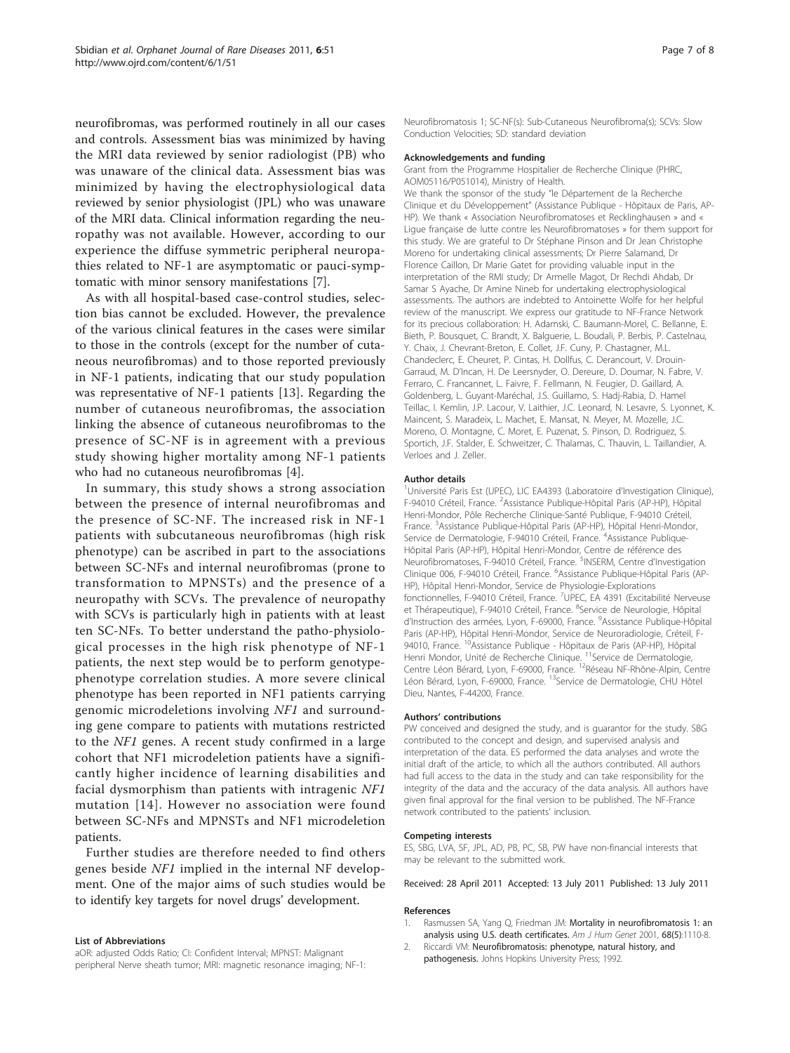<span id="page-6-0"></span>neurofibromas, was performed routinely in all our cases and controls. Assessment bias was minimized by having the MRI data reviewed by senior radiologist (PB) who was unaware of the clinical data. Assessment bias was minimized by having the electrophysiological data reviewed by senior physiologist (JPL) who was unaware of the MRI data. Clinical information regarding the neuropathy was not available. However, according to our experience the diffuse symmetric peripheral neuropathies related to NF-1 are asymptomatic or pauci-symptomatic with minor sensory manifestations [[7\]](#page-7-0).

As with all hospital-based case-control studies, selection bias cannot be excluded. However, the prevalence of the various clinical features in the cases were similar to those in the controls (except for the number of cutaneous neurofibromas) and to those reported previously in NF-1 patients, indicating that our study population was representative of NF-1 patients [\[13](#page-7-0)]. Regarding the number of cutaneous neurofibromas, the association linking the absence of cutaneous neurofibromas to the presence of SC-NF is in agreement with a previous study showing higher mortality among NF-1 patients who had no cutaneous neurofibromas [[4\]](#page-7-0).

In summary, this study shows a strong association between the presence of internal neurofibromas and the presence of SC-NF. The increased risk in NF-1 patients with subcutaneous neurofibromas (high risk phenotype) can be ascribed in part to the associations between SC-NFs and internal neurofibromas (prone to transformation to MPNSTs) and the presence of a neuropathy with SCVs. The prevalence of neuropathy with SCVs is particularly high in patients with at least ten SC-NFs. To better understand the patho-physiological processes in the high risk phenotype of NF-1 patients, the next step would be to perform genotypephenotype correlation studies. A more severe clinical phenotype has been reported in NF1 patients carrying genomic microdeletions involving NF1 and surrounding gene compare to patients with mutations restricted to the NF1 genes. A recent study confirmed in a large cohort that NF1 microdeletion patients have a significantly higher incidence of learning disabilities and facial dysmorphism than patients with intragenic NF1 mutation [\[14](#page-7-0)]. However no association were found between SC-NFs and MPNSTs and NF1 microdeletion patients.

Further studies are therefore needed to find others genes beside NF1 implied in the internal NF development. One of the major aims of such studies would be to identify key targets for novel drugs' development.

#### List of Abbreviations

aOR: adjusted Odds Ratio; CI: Confident Interval; MPNST: Malignant peripheral Nerve sheath tumor; MRI: magnetic resonance imaging; NF-1: Neurofibromatosis 1; SC-NF(s): Sub-Cutaneous Neurofibroma(s); SCVs: Slow Conduction Velocities; SD: standard deviation

#### Acknowledgements and funding

Grant from the Programme Hospitalier de Recherche Clinique (PHRC, AOM05116/P051014), Ministry of Health.

We thank the sponsor of the study "le Département de la Recherche Clinique et du Développement" (Assistance Publique - Hôpitaux de Paris, AP-HP). We thank « Association Neurofibromatoses et Recklinghausen » and « Ligue française de lutte contre les Neurofibromatoses » for them support for this study. We are grateful to Dr Stéphane Pinson and Dr Jean Christophe Moreno for undertaking clinical assessments; Dr Pierre Salamand, Dr Florence Caillon, Dr Marie Gatet for providing valuable input in the interpretation of the RMI study; Dr Armelle Magot, Dr Rechdi Ahdab, Dr Samar S Ayache, Dr Amine Nineb for undertaking electrophysiological assessments. The authors are indebted to Antoinette Wolfe for her helpful review of the manuscript. We express our gratitude to NF-France Network for its precious collaboration: H. Adamski, C. Baumann-Morel, C. Bellanne, E. Bieth, P. Bousquet, C. Brandt, X. Balguerie, L. Boudali, P. Berbis, P. Castelnau, Y. Chaix, J. Chevrant-Breton, E. Collet, J.F. Cuny, P. Chastagner, M.L. Chandeclerc, E. Cheuret, P. Cintas, H. Dollfus, C. Derancourt, V. Drouin-Garraud, M. D'Incan, H. De Leersnyder, O. Dereure, D. Doumar, N. Fabre, V. Ferraro, C. Francannet, L. Faivre, F. Fellmann, N. Feugier, D. Gaillard, A. Goldenberg, L. Guyant-Maréchal, J.S. Guillamo, S. Hadj-Rabia, D. Hamel Teillac, I. Kemlin, J.P. Lacour, V. Laithier, J.C. Leonard, N. Lesavre, S. Lyonnet, K. Maincent, S. Maradeix, L. Machet, E. Mansat, N. Meyer, M. Mozelle, J.C. Moreno, O. Montagne, C. Moret, E. Puzenat, S. Pinson, D. Rodriguez, S. Sportich, J.F. Stalder, E. Schweitzer, C. Thalamas, C. Thauvin, L. Taillandier, A. Verloes and J. Zeller.

#### Author details

<sup>1</sup>Université Paris Est (UPEC), LIC EA4393 (Laboratoire d'Investigation Clinique), F-94010 Créteil, France. <sup>2</sup>Assistance Publique-Hôpital Paris (AP-HP), Hôpital Henri-Mondor, Pôle Recherche Clinique-Santé Publique, F-94010 Créteil, France. <sup>3</sup>Assistance Publique-Hôpital Paris (AP-HP), Hôpital Henri-Mondor Service de Dermatologie, F-94010 Créteil, France. <sup>4</sup>Assistance Publique-Hôpital Paris (AP-HP), Hôpital Henri-Mondor, Centre de référence des Neurofibromatoses, F-94010 Créteil, France. <sup>5</sup>INSERM, Centre d'Investigation Clinique 006, F-94010 Créteil, France. <sup>6</sup> Assistance Publique-Hôpital Paris (AP-HP), Hôpital Henri-Mondor, Service de Physiologie-Explorations fonctionnelles, F-94010 Créteil, France. <sup>7</sup>UPEC, EA 4391 (Excitabilité Nerveuse et Thérapeutique), F-94010 Créteil, France. <sup>8</sup>Service de Neurologie, Hôpital d'Instruction des armées, Lyon, F-69000, France. <sup>9</sup>Assistance Publique-Hôpital Paris (AP-HP), Hôpital Henri-Mondor, Service de Neuroradiologie, Créteil, F-94010, France. <sup>10</sup>Assistance Publique - Hôpitaux de Paris (AP-HP), Hôpital Henri Mondor, Unité de Recherche Clinique. <sup>11</sup>Service de Dermatologie Centre Léon Bérard, Lyon, F-69000, France. <sup>12</sup>Réseau NF-Rhône-Alpin, Centre Léon Bérard, Lyon, F-69000, France. <sup>13</sup>Service de Dermatologie, CHU Hôtel Dieu, Nantes, F-44200, France.

#### Authors' contributions

PW conceived and designed the study, and is guarantor for the study. SBG contributed to the concept and design, and supervised analysis and interpretation of the data. ES performed the data analyses and wrote the initial draft of the article, to which all the authors contributed. All authors had full access to the data in the study and can take responsibility for the integrity of the data and the accuracy of the data analysis. All authors have given final approval for the final version to be published. The NF-France network contributed to the patients' inclusion.

#### Competing interests

ES, SBG, LVA, SF, JPL, AD, PB, PC, SB, PW have non-financial interests that may be relevant to the submitted work.

Received: 28 April 2011 Accepted: 13 July 2011 Published: 13 July 2011

#### References

- Rasmussen SA, Yang Q, Friedman JM: [Mortality in neurofibromatosis 1: an](http://www.ncbi.nlm.nih.gov/pubmed/11283797?dopt=Abstract) [analysis using U.S. death certificates.](http://www.ncbi.nlm.nih.gov/pubmed/11283797?dopt=Abstract) Am J Hum Genet 2001, 68(5):1110-8.
- 2. Riccardi VM: Neurofibromatosis: phenotype, natural history, and pathogenesis. Johns Hopkins University Press; 1992.